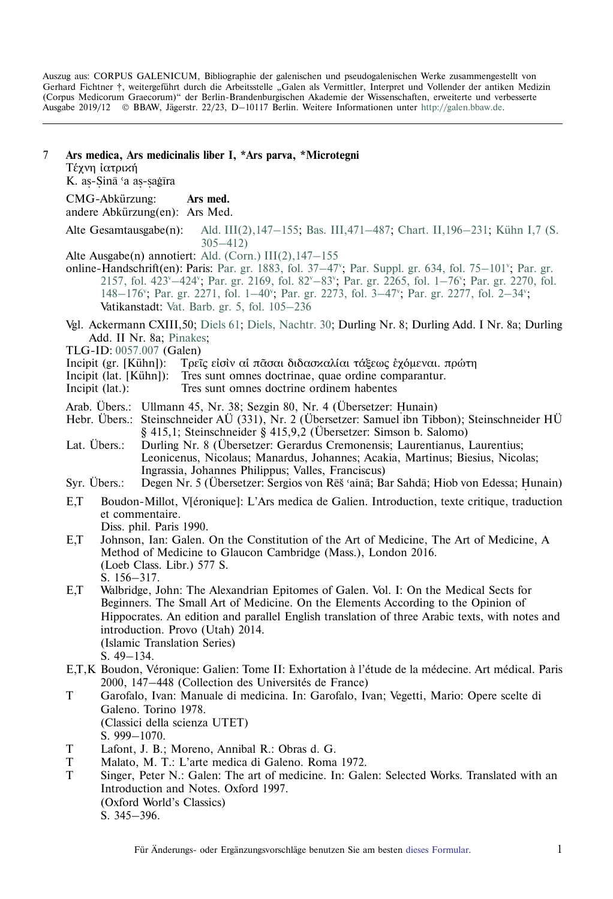Auszug aus: CORPUS GALENICUM, Bibliographie der galenischen und pseudogalenischen Werke zusammengestellt von Gerhard Fichtner †, weitergeführt durch die Arbeitsstelle "Galen als Vermittler, Interpret und Vollender der antiken Medizin (Corpus Medicorum Graecorum)" der Berlin-Brandenburgischen Akademie der Wissenschaften, erweiterte und verbesserte Ausgabe 2019/12 © BBAW, Jägerstr. 22/23, D–10117 Berlin. Weitere Informationen unter [http://galen.bbaw.de](ttp://galen.bbaw.de).

7 **Ars medica, Ars medicinalis liber I, \*Ars parva, \*Microtegni** Τέχνη ἰατρική K. aș-Șinā 'a aș-șaġīra ˙ ˙ CMG-Abkürzung: **Ars med.** andere Abkürzung(en): Ars Med. Alte Gesamtausgabe(n): [Ald. III\(2\),147–155;](http://www2.biusante.parisdescartes.fr/livanc/?cote=01623x05&p=524&do=page) [Bas. III,471–487](http://reader.digitale-sammlungen.de/de/fs1/object/display/bsb11199197_00479.html); [Chart. II,196–231](http://reader.digitale-sammlungen.de/de/fs1/object/display/bsb10622365_00198.html); [Kühn I,7 \(S.](https://archive.org/stream/hapantaoperaomni01galeuoft#page/304/mode/2up) [305–412\)](https://archive.org/stream/hapantaoperaomni01galeuoft#page/304/mode/2up) Alte Ausgabe(n) annotiert: [Ald. \(Corn.\) III\(2\),147–155](https://archive.thulb.uni-jena.de/hisbest/rsc/viewer/HisBest_derivate_00010415/Cornarius_213996405_03_213996502_0516.tif) online-Handschrift(en): Paris: [Par. gr.](https://gallica.bnf.fr/ark:/12148/btv1b10722568v/f432.image) 1883, fol. 37–47<sup>v</sup>; Par. Suppl. gr. 634, fol. 75–101<sup>v</sup>; Par. gr. 2157, fol. 423<sup>v</sup>-424<sup>v</sup>; Par. gr. 2169, fol. 82<sup>v</sup>-83<sup>v</sup>; Par. gr. 2265, fol. 1-76<sup>v</sup>; [Par. gr. 2270, fol.](https://gallica.bnf.fr/ark:/12148/btv1b10721871x/f154.image) 148-176"; Par. gr. 2271, fol. 1-40"; Par. gr. 2273, fol. 3-47"; Par. gr. 2277, fol. 2-34"; Vatikanstadt: [Vat. Barb. gr. 5, fol. 105–236](http://digi.vatlib.it/view/MSS_Barb.gr.5/0109?sid=0df145e7bc5f424eb619e98861010676) Vgl. Ackermann CXIII,50; [Diels 61](http://cmg.bbaw.de/epubl/online/diels_02.html?custom=1&pn=61&AnzFrames=1&dw=1625&dh=816); [Diels, Nachtr. 30;](http://cmg.bbaw.de/epubl/online/diels_04.html?custom=1&pn=30&anzframes=1&dw=1452&dh=816) Durling Nr. 8; Durling Add. I Nr. 8a; Durling Add. II Nr. 8a; [Pinakes;](http://pinakes.irht.cnrs.fr/notices/oeuvre/741/) TLG-ID: [0057.007](http://stephanus.tlg.uci.edu/Iris/inst/browser.jsp#doc=tlg&aid=0057&wid=007&st=0&l=30) (Galen) Incipit (gr. [Kühn]): Τρεῖς εἰσὶν αί πᾶσαι διδασκαλίαι τάξεως εγόμεναι. πρώτη Incipit (lat. [Kühn]): Tres sunt omnes doctrinae, quae ordine comparantur. Incipit (lat.): Tres sunt omnes doctrine ordinem habentes Arab. Übers.: Ullmann 45, Nr. 38; Sezgin 80, Nr. 4 (Übersetzer: Hunain)<br>Hebr Übers Steinschneider AÜ (331) Nr. 2 (Übersetzer: Samuel ibn Tib Hebr. Übers.: Steinschneider AÜ (331), Nr. 2 (Übersetzer: Samuel ibn Tibbon); Steinschneider HÜ § 415,1; Steinschneider § 415,9,2 (Übersetzer: Simson b. Salomo) Lat. Übers.: Durling Nr. 8 (Übersetzer: Gerardus Cremonensis; Laurentianus, Laurentius; Leonicenus, Nicolaus; Manardus, Johannes; Acakia, Martinus; Biesius, Nicolas; Ingrassia, Johannes Philippus; Valles, Franciscus) Syr. Übers.: Degen Nr. 5 (Übersetzer: Sergios von Rēš ʿainā; Bar Sahdā; Hiob von Edessa; Hunain) E,T Boudon-Millot, V[éronique]: L'Ars medica de Galien. Introduction, texte critique, traduction et commentaire. Diss. phil. Paris 1990. E,T Johnson, Ian: Galen. On the Constitution of the Art of Medicine, The Art of Medicine, A Method of Medicine to Glaucon Cambridge (Mass.), London 2016. (Loeb Class. Libr.) 577 S. S. 156–317. E,T Walbridge, John: The Alexandrian Epitomes of Galen. Vol. I: On the Medical Sects for Beginners. The Small Art of Medicine. On the Elements According to the Opinion of Hippocrates. An edition and parallel English translation of three Arabic texts, with notes and introduction. Provo (Utah) 2014. (Islamic Translation Series) S. 49–134. E,T,K Boudon, Véronique: Galien: Tome II: Exhortation à l'étude de la médecine. Art médical. Paris 2000, 147–448 (Collection des Universités de France) T Garofalo, Ivan: Manuale di medicina. In: Garofalo, Ivan; Vegetti, Mario: Opere scelte di Galeno. Torino 1978. (Classici della scienza UTET) S. 999–1070. T Lafont, J. B.; Moreno, Annibal R.: Obras d. G. T Malato, M. T.: L'arte medica di Galeno. Roma 1972. T Singer, Peter N.: Galen: The art of medicine. In: Galen: Selected Works. Translated with an Introduction and Notes. Oxford 1997. (Oxford World's Classics) S. 345–396.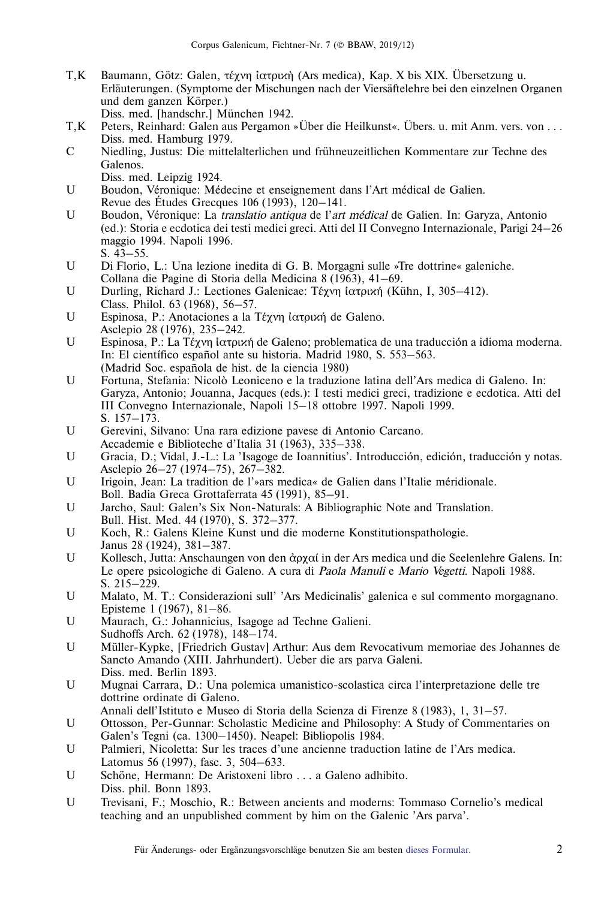- T, K Baumann, Götz: Galen, τέχνη ιατρική (Ars medica), Kap. X bis XIX. Übersetzung u. Erläuterungen. (Symptome der Mischungen nach der Viersäftelehre bei den einzelnen Organen und dem ganzen Körper.)
	- Diss. med. [handschr.] München 1942.
- T,K Peters, Reinhard: Galen aus Pergamon »Über die Heilkunst«. Übers. u. mit Anm. vers. von . . . Diss. med. Hamburg 1979.
- C Niedling, Justus: Die mittelalterlichen und frühneuzeitlichen Kommentare zur Techne des Galenos.
	- Diss. med. Leipzig 1924.
- U Boudon, Véronique: Médecine et enseignement dans l'Art médical de Galien. Revue des Études Grecques  $106$  (1993),  $120-141$ .
- U Boudon, Véronique: La *translatio antiqua* de l'*art médical* de Galien. In: Garyza, Antonio (ed.): Storia e ecdotica dei testi medici greci. Atti del II Convegno Internazionale, Parigi 24–26 maggio 1994. Napoli 1996. S. 43–55.
- U Di Florio, L.: Una lezione inedita di G. B. Morgagni sulle »Tre dottrine« galeniche. Collana die Pagine di Storia della Medicina 8 (1963), 41–69.
- U Durling, Richard J.: Lectiones Galenicae: Τέχνη ἰατρική (Kühn, I, 305–412). Class. Philol. 63 (1968), 56–57.
- U Espinosa, P.: Anotaciones a la Τέχνη ιατρική de Galeno. Asclepio 28 (1976), 235–242.
- U Espinosa, P.: La Τέχνη ιατρική de Galeno; problematica de una traducción a idioma moderna. In: El científico español ante su historia. Madrid 1980, S. 553–563. (Madrid Soc. española de hist. de la ciencia 1980)
- U Fortuna, Stefania: Nicolo` Leoniceno e la traduzione latina dell'Ars medica di Galeno. In: Garyza, Antonio; Jouanna, Jacques (eds.): I testi medici greci, tradizione e ecdotica. Atti del III Convegno Internazionale, Napoli 15–18 ottobre 1997. Napoli 1999. S. 157–173.
- U Gerevini, Silvano: Una rara edizione pavese di Antonio Carcano. Accademie e Biblioteche d'Italia 31 (1963), 335–338.
- U Gracia, D.; Vidal, J.-L.: La 'Isagoge de Ioannitius'. Introducción, edición, traducción y notas. Asclepio 26–27 (1974–75), 267–382.
- U Irigoin, Jean: La tradition de l'»ars medica« de Galien dans l'Italie méridionale. Boll. Badia Greca Grottaferrata 45 (1991), 85–91.
- U Jarcho, Saul: Galen's Six Non-Naturals: A Bibliographic Note and Translation. Bull. Hist. Med. 44 (1970), S. 372–377.
- U Koch, R.: Galens Kleine Kunst und die moderne Konstitutionspathologie. Janus 28 (1924), 381–387.
- U Kollesch, Jutta: Anschaungen von den ἀρχαί in der Ars medica und die Seelenlehre Galens. In: Le opere psicologiche di Galeno. A cura di Paola Manuli e Mario Vegetti. Napoli 1988. S. 215–229.
- U Malato, M. T.: Considerazioni sull' 'Ars Medicinalis' galenica e sul commento morgagnano. Episteme 1 (1967), 81–86.
- U Maurach, G.: Johannicius, Isagoge ad Techne Galieni. Sudhoffs Arch. 62 (1978), 148–174.
- U Müller-Kypke, [Friedrich Gustav] Arthur: Aus dem Revocativum memoriae des Johannes de Sancto Amando (XIII. Jahrhundert). Ueber die ars parva Galeni. Diss. med. Berlin 1893.
- U Mugnai Carrara, D.: Una polemica umanistico-scolastica circa l'interpretazione delle tre dottrine ordinate di Galeno.
- Annali dell'Istituto e Museo di Storia della Scienza di Firenze 8 (1983), 1, 31–57.
- U Ottosson, Per-Gunnar: Scholastic Medicine and Philosophy: A Study of Commentaries on Galen's Tegni (ca. 1300–1450). Neapel: Bibliopolis 1984.
- U Palmieri, Nicoletta: Sur les traces d'une ancienne traduction latine de l'Ars medica. Latomus 56 (1997), fasc. 3, 504–633.
- U Schöne, Hermann: De Aristoxeni libro . . . a Galeno adhibito. Diss. phil. Bonn 1893.
- U Trevisani, F.; Moschio, R.: Between ancients and moderns: Tommaso Cornelio's medical teaching and an unpublished comment by him on the Galenic 'Ars parva'.